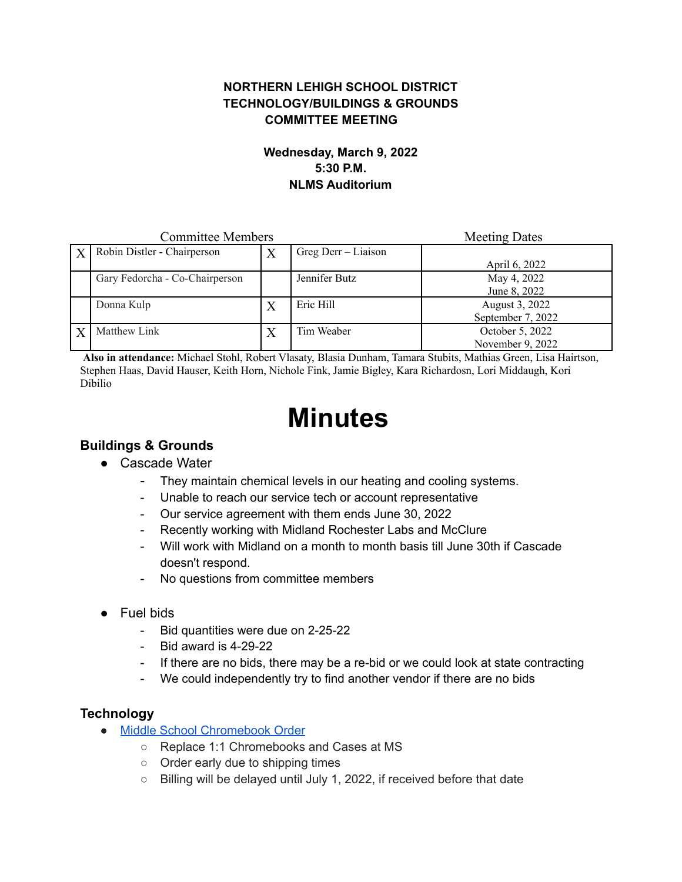### **NORTHERN LEHIGH SCHOOL DISTRICT TECHNOLOGY/BUILDINGS & GROUNDS COMMITTEE MEETING**

#### **Wednesday, March 9, 2022 5:30 P.M. NLMS Auditorium**

| <b>Committee Members</b> |                                |   |                     | <b>Meeting Dates</b> |
|--------------------------|--------------------------------|---|---------------------|----------------------|
|                          | Robin Distler - Chairperson    | X | Greg Derr – Liaison |                      |
|                          |                                |   |                     | April 6, 2022        |
|                          | Gary Fedorcha - Co-Chairperson |   | Jennifer Butz       | May 4, 2022          |
|                          |                                |   |                     | June 8, 2022         |
|                          | Donna Kulp                     | X | Eric Hill           | August 3, 2022       |
|                          |                                |   |                     | September 7, 2022    |
|                          | Matthew Link                   | X | Tim Weaber          | October 5, 2022      |
|                          |                                |   |                     | November 9, 2022     |

**Also in attendance:** Michael Stohl, Robert Vlasaty, Blasia Dunham, Tamara Stubits, Mathias Green, Lisa Hairtson, Stephen Haas, David Hauser, Keith Horn, Nichole Fink, Jamie Bigley, Kara Richardosn, Lori Middaugh, Kori Dibilio

# **Minutes**

## **Buildings & Grounds**

- Cascade Water
	- They maintain chemical levels in our heating and cooling systems.
	- Unable to reach our service tech or account representative
	- Our service agreement with them ends June 30, 2022
	- Recently working with Midland Rochester Labs and McClure
	- Will work with Midland on a month to month basis till June 30th if Cascade doesn't respond.
	- No questions from committee members
- Fuel bids
	- Bid quantities were due on 2-25-22
	- Bid award is 4-29-22
	- If there are no bids, there may be a re-bid or we could look at state contracting
	- We could independently try to find another vendor if there are no bids

## **Technology**

- Middle School [Chromebook](https://drive.google.com/file/d/1JQmejtNkk5QVY7PaooAG--pHJG76EwHm/view?usp=sharing) Order
	- Replace 1:1 Chromebooks and Cases at MS
	- Order early due to shipping times
	- Billing will be delayed until July 1, 2022, if received before that date